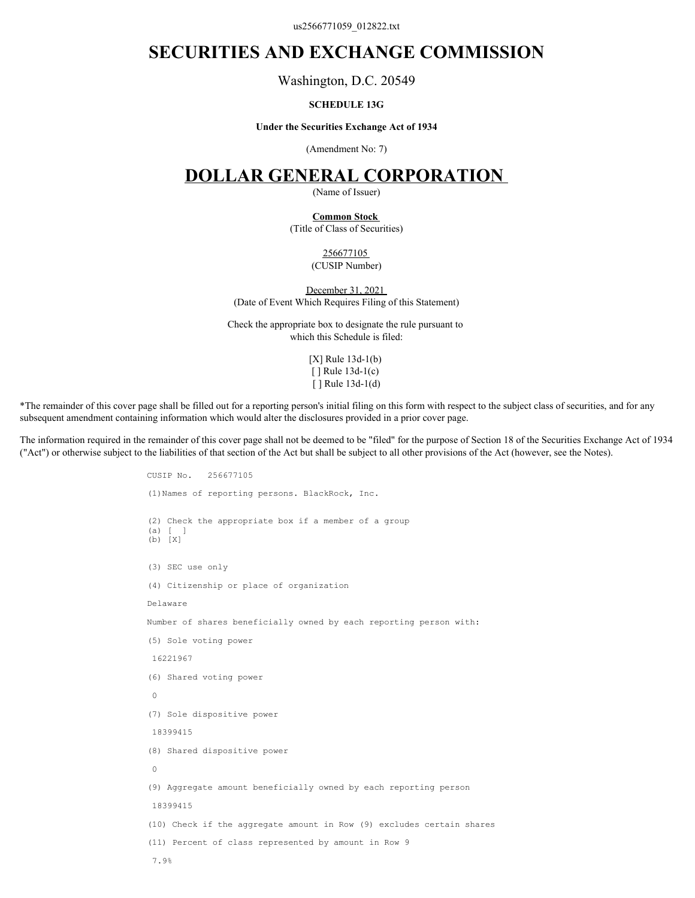us2566771059\_012822.txt

# **SECURITIES AND EXCHANGE COMMISSION**

Washington, D.C. 20549

### **SCHEDULE 13G**

#### **Under the Securities Exchange Act of 1934**

(Amendment No: 7)

# **DOLLAR GENERAL CORPORATION**

(Name of Issuer)

# **Common Stock**

(Title of Class of Securities)

256677105 (CUSIP Number)

December 31, 2021 (Date of Event Which Requires Filing of this Statement)

Check the appropriate box to designate the rule pursuant to which this Schedule is filed:

> [X] Rule 13d-1(b) [ ] Rule 13d-1(c) [ ] Rule 13d-1(d)

\*The remainder of this cover page shall be filled out for a reporting person's initial filing on this form with respect to the subject class of securities, and for any subsequent amendment containing information which would alter the disclosures provided in a prior cover page.

The information required in the remainder of this cover page shall not be deemed to be "filed" for the purpose of Section 18 of the Securities Exchange Act of 1934 ("Act") or otherwise subject to the liabilities of that section of the Act but shall be subject to all other provisions of the Act (however, see the Notes).

```
CUSIP No. 256677105
(1)Names of reporting persons. BlackRock, Inc.
(2) Check the appropriate box if a member of a group
(a) [ ]
(b) [X]
(3) SEC use only
(4) Citizenship or place of organization
Delaware
Number of shares beneficially owned by each reporting person with:
(5) Sole voting power
 16221967
(6) Shared voting power
\overline{0}(7) Sole dispositive power
 18399415
(8) Shared dispositive power
\overline{0}(9) Aggregate amount beneficially owned by each reporting person
 18399415
(10) Check if the aggregate amount in Row (9) excludes certain shares
(11) Percent of class represented by amount in Row 9
 7.9%
```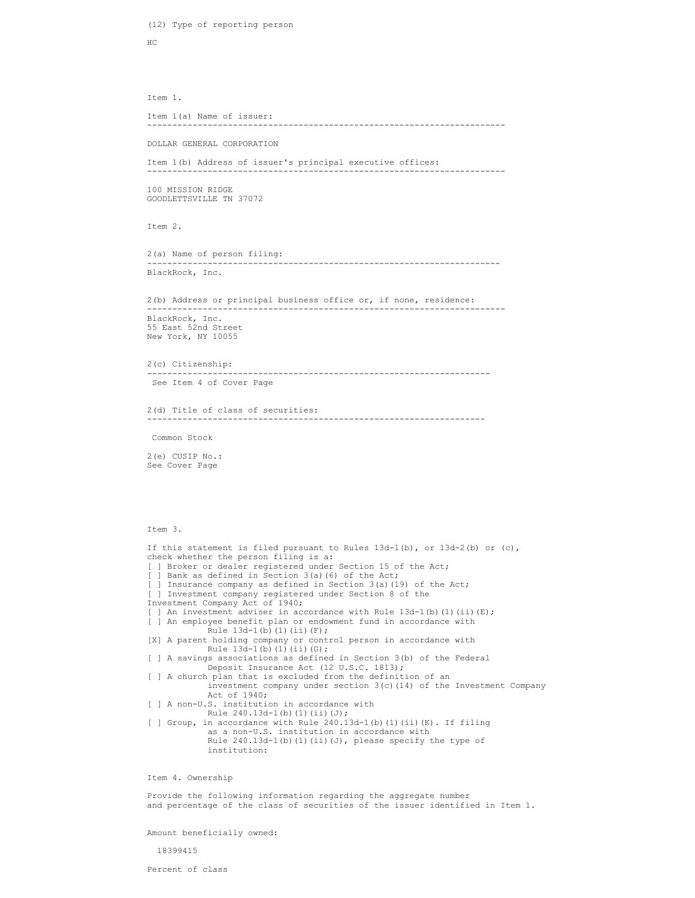```
HC and the state of the state of the state of the state of the state of the state of the state of the state of the state of the state of the state of the state of the state of the state of the state of the state of the sta
Item 1.
Item 1(a) Name of issuer:
                        -----------------------------------------------------------------------
DOLLAR GENERAL CORPORATION
Item 1(b) Address of issuer's principal executive offices:
-----------------------------------------------------------------------
100 MISSION RIDGE
GOODLETTSVILLE TN 37072
Item 2.
2(a) Name of person filing:
                            ----------------------------------------------------------------------
BlackRock, Inc.
2(b) Address or principal business office or, if none, residence:
    -----------------------------------------------------------------------
BlackRock, Inc.
55 East 52nd Street
New York, NY 10055
2(c) Citizenship:
                --------------------------------------------------------------------
 See Item 4 of Cover Page
2(d) Title of class of securities:
                                  -------------------------------------------------------------------
 Common Stock
2(e) CUSIP No.:
See Cover Page
Item 3.
If this statement is filed pursuant to Rules 13d-1(b), or 13d-2(b) or (c),
check whether the person filing is a:
[ ] Broker or dealer registered under Section 15 of the Act;
[ ] Bank as defined in Section 3(a)(6) of the Act;
[ ] Insurance company as defined in Section 3(a)(19) of the Act;
[ ] Investment company registered under Section 8 of the
Investment Company Act of 1940;
[ ] An investment adviser in accordance with Rule 13d-1(b)(1)(ii)(E);
[ ] An employee benefit plan or endowment fund in accordance with
            Rule 13d-1(b)(1)(ii)(F);
[X] A parent holding company or control person in accordance with
           Rule 13d-1(b)(1)(ii)(G);[ ] A savings associations as defined in Section 3(b) of the Federal
            Deposit Insurance Act (12 U.S.C. 1813);
[ ] A church plan that is excluded from the definition of an
            investment company under section 3(c)(14) of the Investment Company
 Act of 1940;
[ ] A non-U.S. institution in accordance with
           Rule 240.13d-1(b)(1)(ii)(J);[ ] Group, in accordance with Rule 240.13d-1(b)(1)(ii)(K). If filing
 as a non-U.S. institution in accordance with
Rule 240.13d-1(b)(1)(ii)(J), please specify the type of
            institution:
Item 4. Ownership
```
Provide the following information regarding the aggregate number and percentage of the class of securities of the issuer identified in Item 1.

Amount beneficially owned:

(12) Type of reporting person

18399415

Percent of class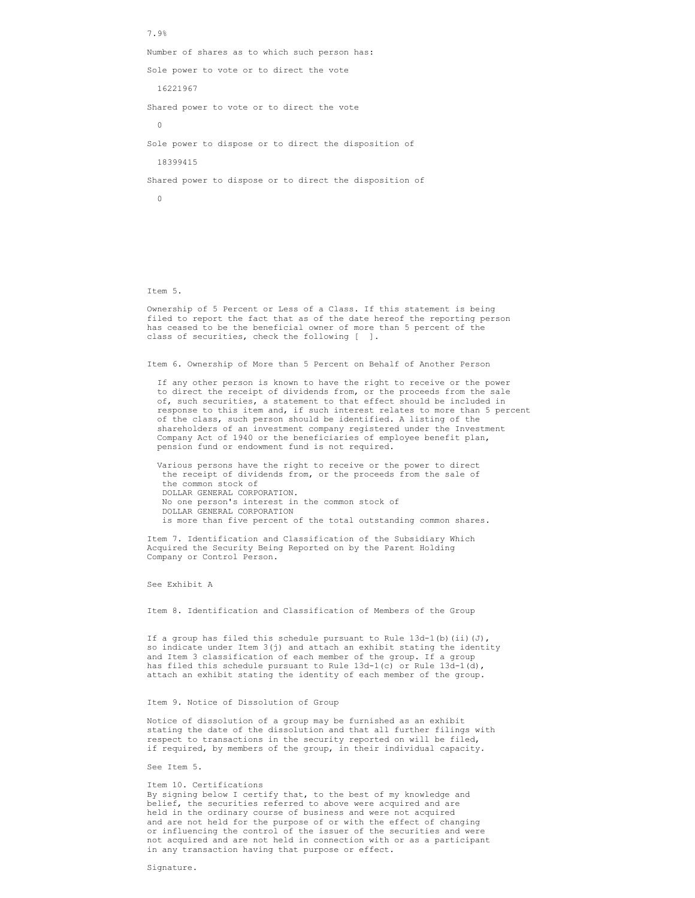7.9% Number of shares as to which such person has: Sole power to vote or to direct the vote 16221967 Shared power to vote or to direct the vote 0 Sole power to dispose or to direct the disposition of 18399415 Shared power to dispose or to direct the disposition of 0

Item 5.

Ownership of 5 Percent or Less of a Class. If this statement is being filed to report the fact that as of the date hereof the reporting person has ceased to be the beneficial owner of more than 5 percent of the class of securities, check the following [ ].

Item 6. Ownership of More than 5 Percent on Behalf of Another Person

 If any other person is known to have the right to receive or the power to direct the receipt of dividends from, or the proceeds from the sale of, such securities, a statement to that effect should be included in response to this item and, if such interest relates to more than 5 percent of the class, such person should be identified. A listing of the shareholders of an investment company registered under the Investment Company Act of 1940 or the beneficiaries of employee benefit plan, pension fund or endowment fund is not required.

 Various persons have the right to receive or the power to direct the receipt of dividends from, or the proceeds from the sale of the common stock of DOLLAR GENERAL CORPORATION. No one person's interest in the common stock of DOLLAR GENERAL CORPORATION is more than five percent of the total outstanding common shares.

Item 7. Identification and Classification of the Subsidiary Which Acquired the Security Being Reported on by the Parent Holding Company or Control Person.

See Exhibit A

Item 8. Identification and Classification of Members of the Group

If a group has filed this schedule pursuant to Rule  $13d-1$ (b)(ii)(J), so indicate under Item 3(j) and attach an exhibit stating the identity and Item 3 classification of each member of the group. If a group has filed this schedule pursuant to Rule  $13d-1(c)$  or Rule  $13d-1(d)$ , attach an exhibit stating the identity of each member of the group.

## Item 9. Notice of Dissolution of Group

Notice of dissolution of a group may be furnished as an exhibit stating the date of the dissolution and that all further filings with respect to transactions in the security reported on will be filed, if required, by members of the group, in their individual capacity.

See Item 5.

### Item 10. Certifications

By signing below I certify that, to the best of my knowledge and belief, the securities referred to above were acquired and are held in the ordinary course of business and were not acquired and are not held for the purpose of or with the effect of changing or influencing the control of the issuer of the securities and were not acquired and are not held in connection with or as a participant in any transaction having that purpose or effect.

Signature.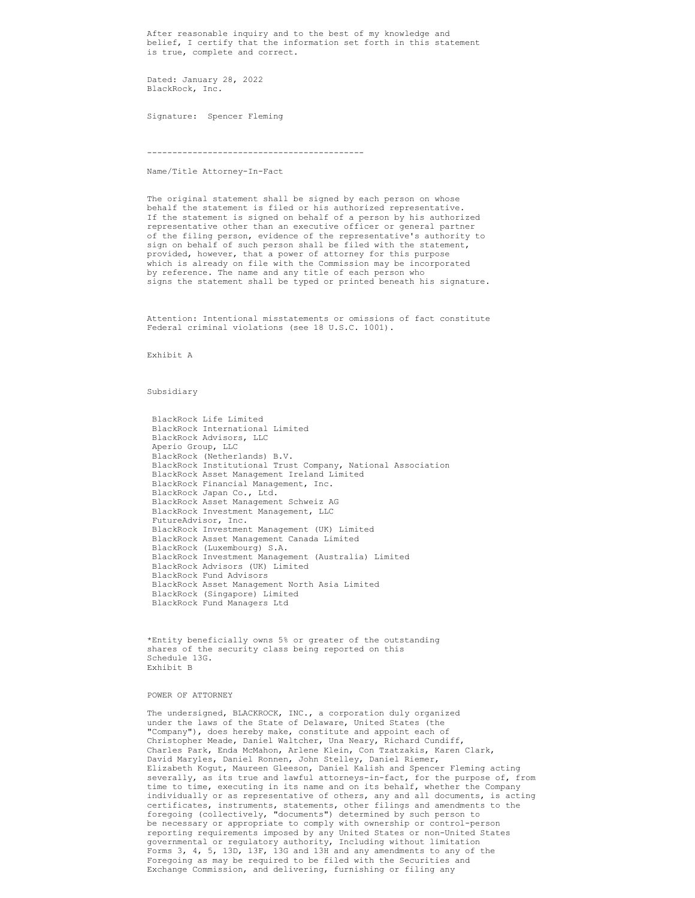After reasonable inquiry and to the best of my knowledge and belief, I certify that the information set forth in this statement is true, complete and correct.

Dated: January 28, 2022 BlackRock, Inc.

Signature: Spencer Fleming

-------------------------------------------

Name/Title Attorney-In-Fact

The original statement shall be signed by each person on whose behalf the statement is filed or his authorized representative. If the statement is signed on behalf of a person by his authorized representative other than an executive officer or general partner of the filing person, evidence of the representative's authority to sign on behalf of such person shall be filed with the statement, provided, however, that a power of attorney for this purpose which is already on file with the Commission may be incorporated by reference. The name and any title of each person who signs the statement shall be typed or printed beneath his signature.

Attention: Intentional misstatements or omissions of fact constitute Federal criminal violations (see 18 U.S.C. 1001).

Exhibit A

Subsidiary

 BlackRock Life Limited BlackRock International Limited BlackRock Advisors, LLC Aperio Group, LLC BlackRock (Netherlands) B.V. BlackRock Institutional Trust Company, National Association BlackRock Asset Management Ireland Limited BlackRock Financial Management, Inc. BlackRock Japan Co., Ltd. BlackRock Asset Management Schweiz AG BlackRock Investment Management, LLC FutureAdvisor, Inc. BlackRock Investment Management (UK) Limited BlackRock Asset Management Canada Limited BlackRock (Luxembourg) S.A. BlackRock Investment Management (Australia) Limited BlackRock Advisors (UK) Limited BlackRock Fund Advisors BlackRock Asset Management North Asia Limited BlackRock (Singapore) Limited BlackRock Fund Managers Ltd

\*Entity beneficially owns 5% or greater of the outstanding shares of the security class being reported on this Schedule 13G. Exhibit B

## POWER OF ATTORNEY

The undersigned, BLACKROCK, INC., a corporation duly organized under the laws of the State of Delaware, United States (the "Company"), does hereby make, constitute and appoint each of Christopher Meade, Daniel Waltcher, Una Neary, Richard Cundiff, Charles Park, Enda McMahon, Arlene Klein, Con Tzatzakis, Karen Clark, David Maryles, Daniel Ronnen, John Stelley, Daniel Riemer, Elizabeth Kogut, Maureen Gleeson, Daniel Kalish and Spencer Fleming acting severally, as its true and lawful attorneys-in-fact, for the purpose of, from time to time, executing in its name and on its behalf, whether the Company individually or as representative of others, any and all documents, is acting certificates, instruments, statements, other filings and amendments to the foregoing (collectively, "documents") determined by such person to be necessary or appropriate to comply with ownership or control-person reporting requirements imposed by any United States or non-United States governmental or regulatory authority, Including without limitation Forms 3, 4, 5, 13D, 13F, 13G and 13H and any amendments to any of the Foregoing as may be required to be filed with the Securities and Exchange Commission, and delivering, furnishing or filing any